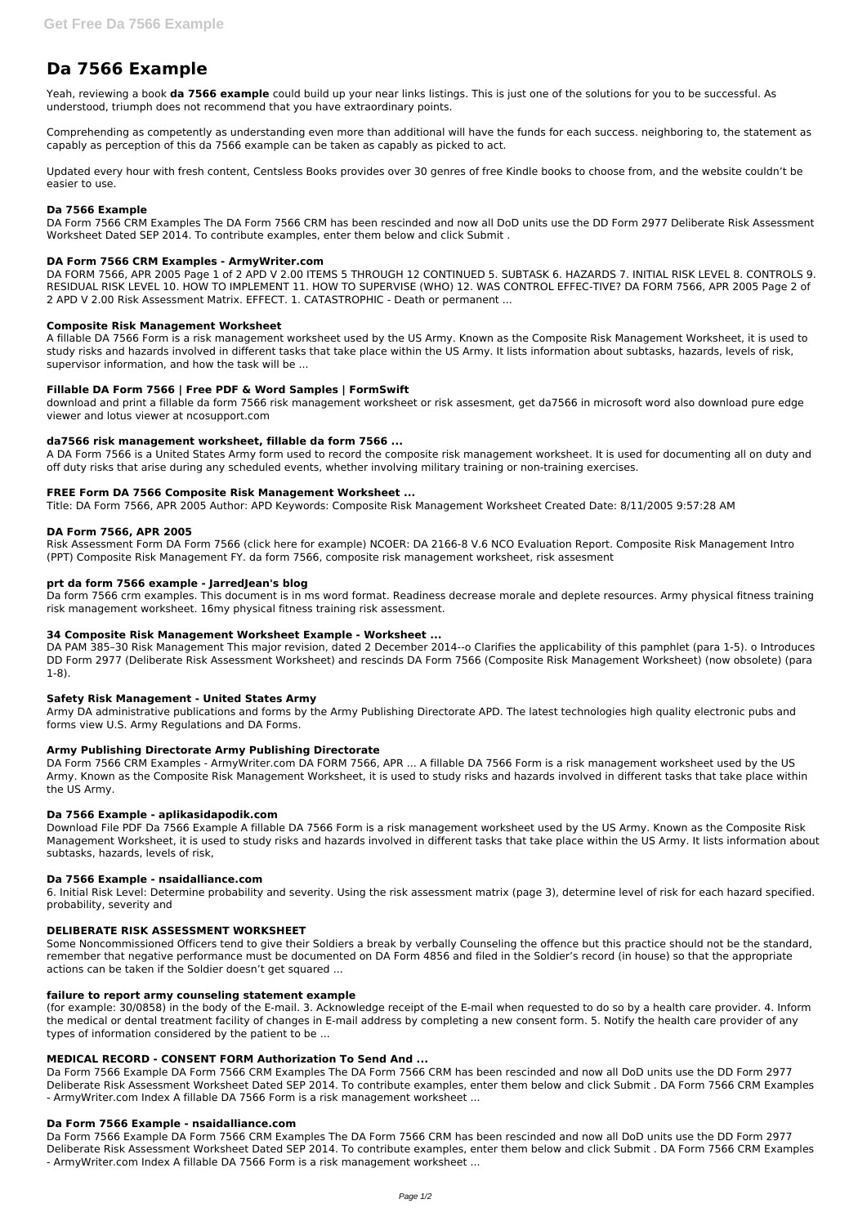# **Da 7566 Example**

Yeah, reviewing a book **da 7566 example** could build up your near links listings. This is just one of the solutions for you to be successful. As understood, triumph does not recommend that you have extraordinary points.

Comprehending as competently as understanding even more than additional will have the funds for each success. neighboring to, the statement as capably as perception of this da 7566 example can be taken as capably as picked to act.

Updated every hour with fresh content, Centsless Books provides over 30 genres of free Kindle books to choose from, and the website couldn't be easier to use.

#### **Da 7566 Example**

DA Form 7566 CRM Examples The DA Form 7566 CRM has been rescinded and now all DoD units use the DD Form 2977 Deliberate Risk Assessment Worksheet Dated SEP 2014. To contribute examples, enter them below and click Submit .

## **DA Form 7566 CRM Examples - ArmyWriter.com**

DA FORM 7566, APR 2005 Page 1 of 2 APD V 2.00 ITEMS 5 THROUGH 12 CONTINUED 5. SUBTASK 6. HAZARDS 7. INITIAL RISK LEVEL 8. CONTROLS 9. RESIDUAL RISK LEVEL 10. HOW TO IMPLEMENT 11. HOW TO SUPERVISE (WHO) 12. WAS CONTROL EFFEC-TIVE? DA FORM 7566, APR 2005 Page 2 of 2 APD V 2.00 Risk Assessment Matrix. EFFECT. 1. CATASTROPHIC - Death or permanent ...

## **Composite Risk Management Worksheet**

A fillable DA 7566 Form is a risk management worksheet used by the US Army. Known as the Composite Risk Management Worksheet, it is used to study risks and hazards involved in different tasks that take place within the US Army. It lists information about subtasks, hazards, levels of risk, supervisor information, and how the task will be ...

## **Fillable DA Form 7566 | Free PDF & Word Samples | FormSwift**

download and print a fillable da form 7566 risk management worksheet or risk assesment, get da7566 in microsoft word also download pure edge viewer and lotus viewer at ncosupport.com

## **da7566 risk management worksheet, fillable da form 7566 ...**

A DA Form 7566 is a United States Army form used to record the composite risk management worksheet. It is used for documenting all on duty and off duty risks that arise during any scheduled events, whether involving military training or non-training exercises.

#### **FREE Form DA 7566 Composite Risk Management Worksheet ...**

Title: DA Form 7566, APR 2005 Author: APD Keywords: Composite Risk Management Worksheet Created Date: 8/11/2005 9:57:28 AM

# **DA Form 7566, APR 2005**

Risk Assessment Form DA Form 7566 (click here for example) NCOER: DA 2166-8 V.6 NCO Evaluation Report. Composite Risk Management Intro (PPT) Composite Risk Management FY. da form 7566, composite risk management worksheet, risk assesment

#### **prt da form 7566 example - JarredJean's blog**

Da form 7566 crm examples. This document is in ms word format. Readiness decrease morale and deplete resources. Army physical fitness training risk management worksheet. 16my physical fitness training risk assessment.

#### **34 Composite Risk Management Worksheet Example - Worksheet ...**

DA PAM 385–30 Risk Management This major revision, dated 2 December 2014--o Clarifies the applicability of this pamphlet (para 1-5). o Introduces DD Form 2977 (Deliberate Risk Assessment Worksheet) and rescinds DA Form 7566 (Composite Risk Management Worksheet) (now obsolete) (para 1-8).

#### **Safety Risk Management - United States Army**

Army DA administrative publications and forms by the Army Publishing Directorate APD. The latest technologies high quality electronic pubs and forms view U.S. Army Regulations and DA Forms.

#### **Army Publishing Directorate Army Publishing Directorate**

DA Form 7566 CRM Examples - ArmyWriter.com DA FORM 7566, APR ... A fillable DA 7566 Form is a risk management worksheet used by the US Army. Known as the Composite Risk Management Worksheet, it is used to study risks and hazards involved in different tasks that take place within the US Army.

#### **Da 7566 Example - aplikasidapodik.com**

Download File PDF Da 7566 Example A fillable DA 7566 Form is a risk management worksheet used by the US Army. Known as the Composite Risk Management Worksheet, it is used to study risks and hazards involved in different tasks that take place within the US Army. It lists information about subtasks, hazards, levels of risk,

#### **Da 7566 Example - nsaidalliance.com**

6. Initial Risk Level: Determine probability and severity. Using the risk assessment matrix (page 3), determine level of risk for each hazard specified. probability, severity and

#### **DELIBERATE RISK ASSESSMENT WORKSHEET**

Some Noncommissioned Officers tend to give their Soldiers a break by verbally Counseling the offence but this practice should not be the standard, remember that negative performance must be documented on DA Form 4856 and filed in the Soldier's record (in house) so that the appropriate actions can be taken if the Soldier doesn't get squared ...

# **failure to report army counseling statement example**

(for example: 30/0858) in the body of the E-mail. 3. Acknowledge receipt of the E-mail when requested to do so by a health care provider. 4. Inform the medical or dental treatment facility of changes in E-mail address by completing a new consent form. 5. Notify the health care provider of any types of information considered by the patient to be ...

#### **MEDICAL RECORD - CONSENT FORM Authorization To Send And ...**

Da Form 7566 Example DA Form 7566 CRM Examples The DA Form 7566 CRM has been rescinded and now all DoD units use the DD Form 2977 Deliberate Risk Assessment Worksheet Dated SEP 2014. To contribute examples, enter them below and click Submit . DA Form 7566 CRM Examples - ArmyWriter.com Index A fillable DA 7566 Form is a risk management worksheet ...

#### **Da Form 7566 Example - nsaidalliance.com**

Da Form 7566 Example DA Form 7566 CRM Examples The DA Form 7566 CRM has been rescinded and now all DoD units use the DD Form 2977 Deliberate Risk Assessment Worksheet Dated SEP 2014. To contribute examples, enter them below and click Submit . DA Form 7566 CRM Examples - ArmyWriter.com Index A fillable DA 7566 Form is a risk management worksheet ...